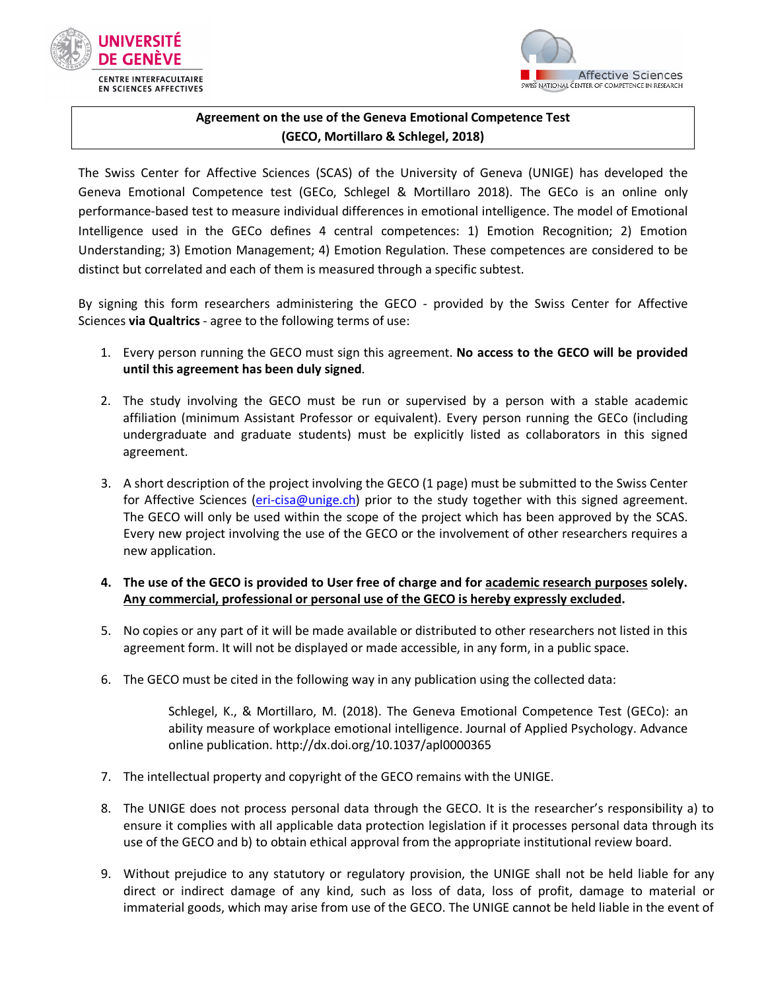

**EN SCIENCES AFFECTIVES** 



## **Agreement on the use of the Geneva Emotional Competence Test (GECO, Mortillaro & Schlegel, 2018)**

The Swiss Center for Affective Sciences (SCAS) of the University of Geneva (UNIGE) has developed the Geneva Emotional Competence test (GECo, Schlegel & Mortillaro 2018). The GECo is an online only performance-based test to measure individual differences in emotional intelligence. The model of Emotional Intelligence used in the GECo defines 4 central competences: 1) Emotion Recognition; 2) Emotion Understanding; 3) Emotion Management; 4) Emotion Regulation. These competences are considered to be distinct but correlated and each of them is measured through a specific subtest.

By signing this form researchers administering the GECO - provided by the Swiss Center for Affective Sciences **via Qualtrics** - agree to the following terms of use:

- 1. Every person running the GECO must sign this agreement. **No access to the GECO will be provided until this agreement has been duly signed**.
- 2. The study involving the GECO must be run or supervised by a person with a stable academic affiliation (minimum Assistant Professor or equivalent). Every person running the GECo (including undergraduate and graduate students) must be explicitly listed as collaborators in this signed agreement.
- 3. A short description of the project involving the GECO (1 page) must be submitted to the Swiss Center for Affective Sciences (eri-cisa@unige.ch) prior to the study together with this signed agreement. The GECO will only be used within the scope of the project which has been approved by the SCAS. Every new project involving the use of the GECO or the involvement of other researchers requires a new application.

## **4. The use of the GECO is provided to User free of charge and for academic research purposes solely. Any commercial, professional or personal use of the GECO is hereby expressly excluded.**

- 5. No copies or any part of it will be made available or distributed to other researchers not listed in this agreement form. It will not be displayed or made accessible, in any form, in a public space.
- 6. The GECO must be cited in the following way in any publication using the collected data:

Schlegel, K., & Mortillaro, M. (2018). The Geneva Emotional Competence Test (GECo): an ability measure of workplace emotional intelligence. Journal of Applied Psychology. Advance online publication. http://dx.doi.org/10.1037/apl0000365

- 7. The intellectual property and copyright of the GECO remains with the UNIGE.
- 8. The UNIGE does not process personal data through the GECO. It is the researcher's responsibility a) to ensure it complies with all applicable data protection legislation if it processes personal data through its use of the GECO and b) to obtain ethical approval from the appropriate institutional review board.
- 9. Without prejudice to any statutory or regulatory provision, the UNIGE shall not be held liable for any direct or indirect damage of any kind, such as loss of data, loss of profit, damage to material or immaterial goods, which may arise from use of the GECO. The UNIGE cannot be held liable in the event of